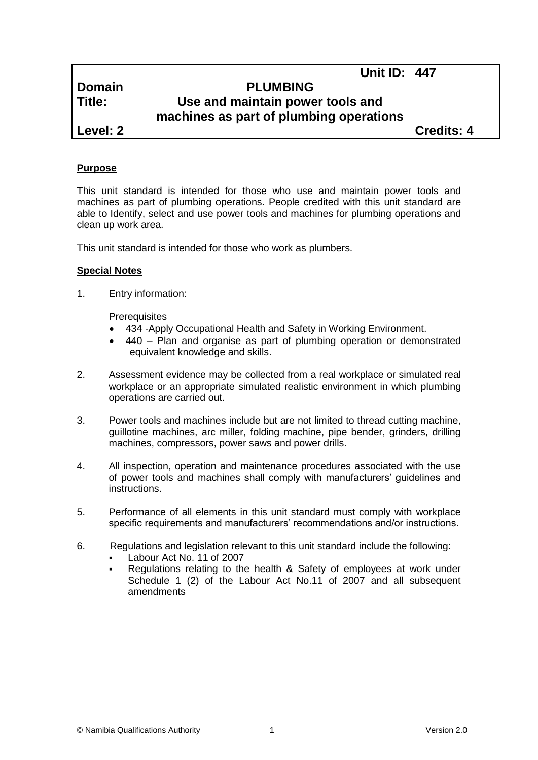**Unit ID: 447**

# **Domain PLUMBING Title: Use and maintain power tools and machines as part of plumbing operations**

**Level: 2 Credits: 4**

## **Purpose**

This unit standard is intended for those who use and maintain power tools and machines as part of plumbing operations. People credited with this unit standard are able to Identify, select and use power tools and machines for plumbing operations and clean up work area.

This unit standard is intended for those who work as plumbers.

## **Special Notes**

1. Entry information:

**Prerequisites** 

- 434 *-*Apply Occupational Health and Safety in Working Environment.
- 440 Plan and organise as part of plumbing operation or demonstrated equivalent knowledge and skills.
- 2. Assessment evidence may be collected from a real workplace or simulated real workplace or an appropriate simulated realistic environment in which plumbing operations are carried out.
- 3. Power tools and machines include but are not limited to thread cutting machine, guillotine machines, arc miller, folding machine, pipe bender, grinders, drilling machines, compressors, power saws and power drills.
- 4. All inspection, operation and maintenance procedures associated with the use of power tools and machines shall comply with manufacturers' guidelines and instructions.
- 5. Performance of all elements in this unit standard must comply with workplace specific requirements and manufacturers' recommendations and/or instructions.
- 6. Regulations and legislation relevant to this unit standard include the following:
	- Labour Act No. 11 of 2007
	- Regulations relating to the health & Safety of employees at work under Schedule 1 (2) of the Labour Act No.11 of 2007 and all subsequent amendments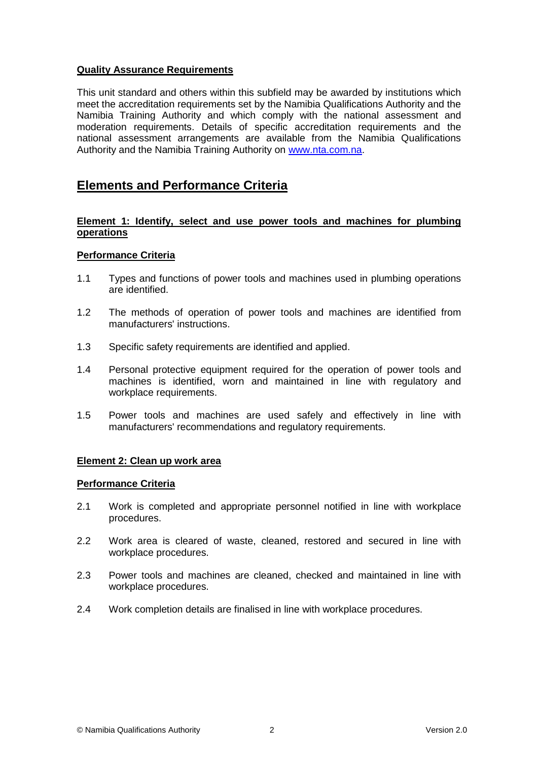## **Quality Assurance Requirements**

This unit standard and others within this subfield may be awarded by institutions which meet the accreditation requirements set by the Namibia Qualifications Authority and the Namibia Training Authority and which comply with the national assessment and moderation requirements. Details of specific accreditation requirements and the national assessment arrangements are available from the Namibia Qualifications Authority and the Namibia Training Authority on [www.nta.com.na.](http://www.nta.com.na/)

# **Elements and Performance Criteria**

#### **Element 1: Identify, select and use power tools and machines for plumbing operations**

#### **Performance Criteria**

- 1.1 Types and functions of power tools and machines used in plumbing operations are identified.
- 1.2 The methods of operation of power tools and machines are identified from manufacturers' instructions.
- 1.3 Specific safety requirements are identified and applied.
- 1.4 Personal protective equipment required for the operation of power tools and machines is identified, worn and maintained in line with regulatory and workplace requirements.
- 1.5 Power tools and machines are used safely and effectively in line with manufacturers' recommendations and regulatory requirements.

#### **Element 2: Clean up work area**

#### **Performance Criteria**

- 2.1 Work is completed and appropriate personnel notified in line with workplace procedures.
- 2.2 Work area is cleared of waste, cleaned, restored and secured in line with workplace procedures.
- 2.3 Power tools and machines are cleaned, checked and maintained in line with workplace procedures.
- 2.4 Work completion details are finalised in line with workplace procedures.